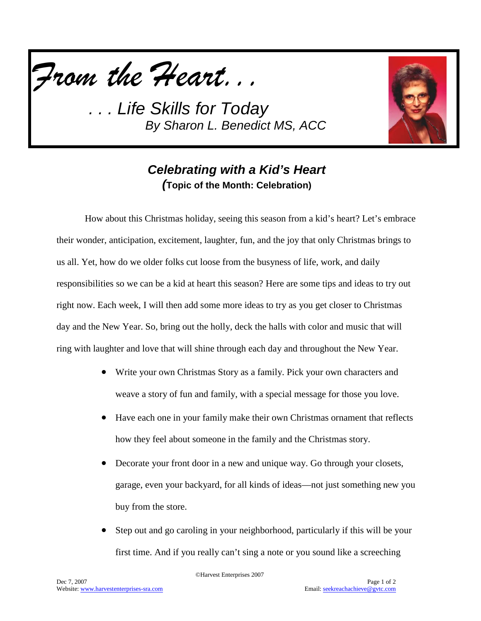*From the Heart...*

**Life Skills for Today** *By Sharon L. Benedict MS, ACC*



## *Celebrating with a Kid's Heart (***Topic of the Month: Celebration)**

How about this Christmas holiday, seeing this season from a kid's heart? Let's embrace their wonder, anticipation, excitement, laughter, fun, and the joy that only Christmas brings to us all. Yet, how do we older folks cut loose from the busyness of life, work, and daily responsibilities so we can be a kid at heart this season? Here are some tips and ideas to try out right now. Each week, I will then add some more ideas to try as you get closer to Christmas day and the New Year. So, bring out the holly, deck the halls with color and music that will ring with laughter and love that will shine through each day and throughout the New Year.

- Write your own Christmas Story as a family. Pick your own characters and weave a story of fun and family, with a special message for those you love.
- Have each one in your family make their own Christmas ornament that reflects how they feel about someone in the family and the Christmas story.
- Decorate your front door in a new and unique way. Go through your closets, garage, even your backyard, for all kinds of ideas—not just something new you buy from the store.
- Step out and go caroling in your neighborhood, particularly if this will be your first time. And if you really can't sing a note or you sound like a screeching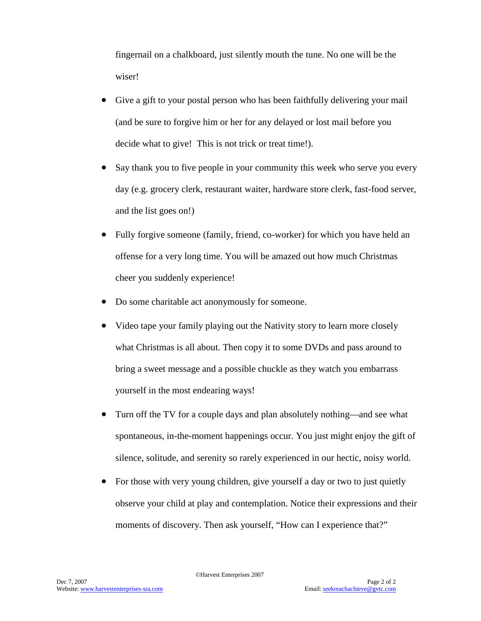fingernail on a chalkboard, just silently mouth the tune. No one will be the wiser!

- Give a gift to your postal person who has been faithfully delivering your mail (and be sure to forgive him or her for any delayed or lost mail before you decide what to give! This is not trick or treat time!).
- Say thank you to five people in your community this week who serve you every day (e.g. grocery clerk, restaurant waiter, hardware store clerk, fast-food server, and the list goes on!)
- Fully forgive someone (family, friend, co-worker) for which you have held an offense for a very long time. You will be amazed out how much Christmas cheer you suddenly experience!
- Do some charitable act anonymously for someone.
- Video tape your family playing out the Nativity story to learn more closely what Christmas is all about. Then copy it to some DVDs and pass around to bring a sweet message and a possible chuckle as they watch you embarrass yourself in the most endearing ways!
- Turn off the TV for a couple days and plan absolutely nothing—and see what spontaneous, in-the-moment happenings occur. You just might enjoy the gift of silence, solitude, and serenity so rarely experienced in our hectic, noisy world.
- For those with very young children, give yourself a day or two to just quietly observe your child at play and contemplation. Notice their expressions and their moments of discovery. Then ask yourself, "How can I experience that?"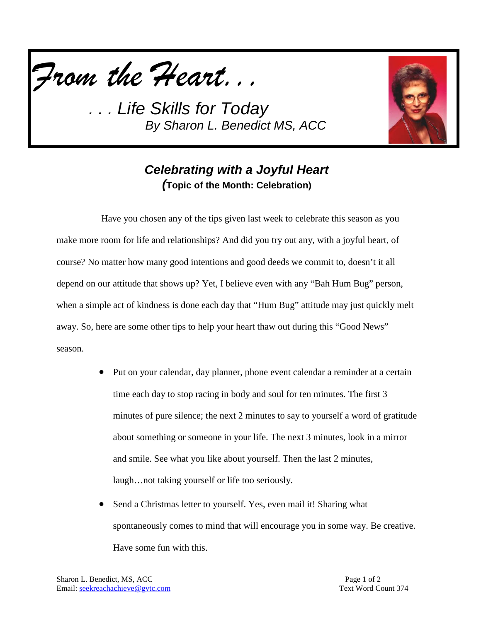*From the Heart...*

*. . . Life Skills for Today By Sharon L. Benedict MS, ACC*



## *Celebrating with a Joyful Heart (***Topic of the Month: Celebration)**

Have you chosen any of the tips given last week to celebrate this season as you make more room for life and relationships? And did you try out any, with a joyful heart, of course? No matter how many good intentions and good deeds we commit to, doesn't it all depend on our attitude that shows up? Yet, I believe even with any "Bah Hum Bug" person, when a simple act of kindness is done each day that "Hum Bug" attitude may just quickly melt away. So, here are some other tips to help your heart thaw out during this "Good News" season.

- Put on your calendar, day planner, phone event calendar a reminder at a certain time each day to stop racing in body and soul for ten minutes. The first 3 minutes of pure silence; the next 2 minutes to say to yourself a word of gratitude about something or someone in your life. The next 3 minutes, look in a mirror and smile. See what you like about yourself. Then the last 2 minutes, laugh…not taking yourself or life too seriously.
- Send a Christmas letter to yourself. Yes, even mail it! Sharing what spontaneously comes to mind that will encourage you in some way. Be creative. Have some fun with this.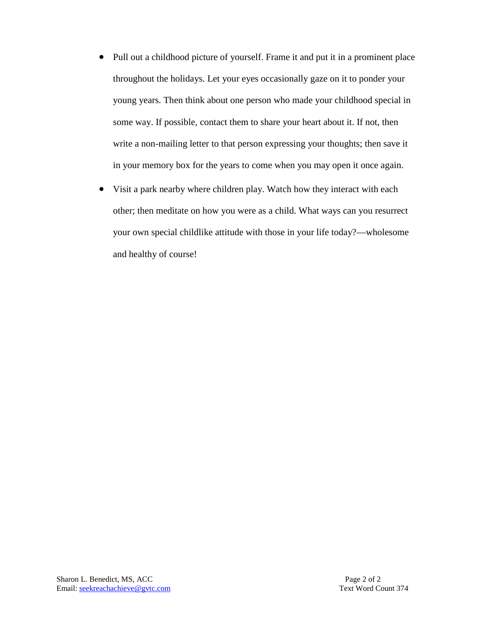- Pull out a childhood picture of yourself. Frame it and put it in a prominent place throughout the holidays. Let your eyes occasionally gaze on it to ponder your young years. Then think about one person who made your childhood special in some way. If possible, contact them to share your heart about it. If not, then write a non-mailing letter to that person expressing your thoughts; then save it in your memory box for the years to come when you may open it once again.
- Visit a park nearby where children play. Watch how they interact with each other; then meditate on how you were as a child. What ways can you resurrect your own special childlike attitude with those in your life today?—wholesome and healthy of course!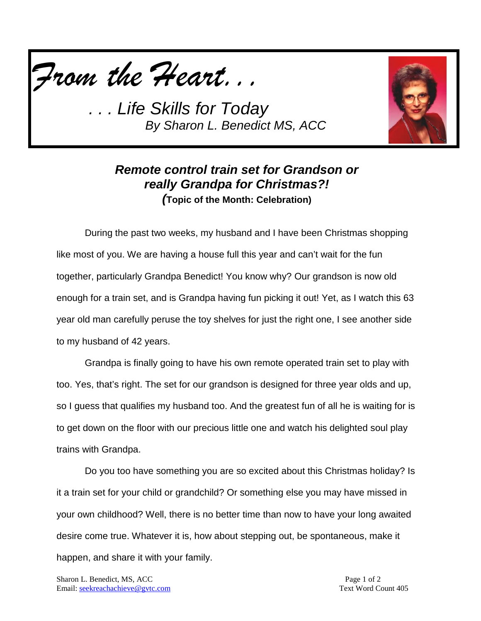*From the Heart...*

**Life Skills for Today** *By Sharon L. Benedict MS, ACC*



## *Remote control train set for Grandson or really Grandpa for Christmas?! (***Topic of the Month: Celebration)**

During the past two weeks, my husband and I have been Christmas shopping like most of you. We are having a house full this year and can't wait for the fun together, particularly Grandpa Benedict! You know why? Our grandson is now old enough for a train set, and is Grandpa having fun picking it out! Yet, as I watch this 63 year old man carefully peruse the toy shelves for just the right one, I see another side to my husband of 42 years.

Grandpa is finally going to have his own remote operated train set to play with too. Yes, that's right. The set for our grandson is designed for three year olds and up, so I guess that qualifies my husband too. And the greatest fun of all he is waiting for is to get down on the floor with our precious little one and watch his delighted soul play trains with Grandpa.

Do you too have something you are so excited about this Christmas holiday? Is it a train set for your child or grandchild? Or something else you may have missed in your own childhood? Well, there is no better time than now to have your long awaited desire come true. Whatever it is, how about stepping out, be spontaneous, make it happen, and share it with your family.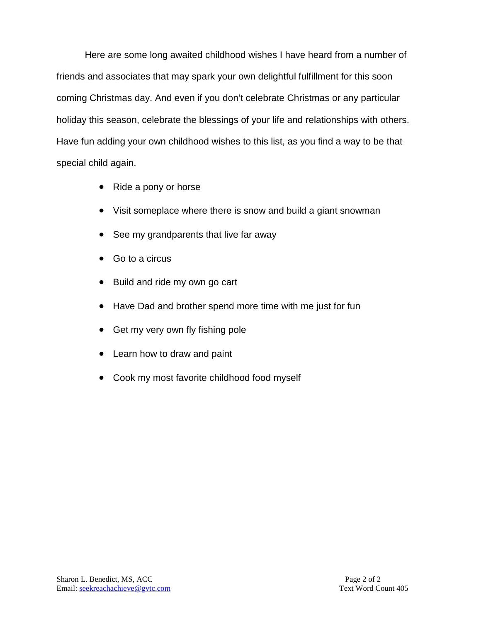Here are some long awaited childhood wishes I have heard from a number of friends and associates that may spark your own delightful fulfillment for this soon coming Christmas day. And even if you don't celebrate Christmas or any particular holiday this season, celebrate the blessings of your life and relationships with others. Have fun adding your own childhood wishes to this list, as you find a way to be that special child again.

- Ride a pony or horse
- Visit someplace where there is snow and build a giant snowman
- See my grandparents that live far away
- Go to a circus
- Build and ride my own go cart
- Have Dad and brother spend more time with me just for fun
- Get my very own fly fishing pole
- Learn how to draw and paint
- Cook my most favorite childhood food myself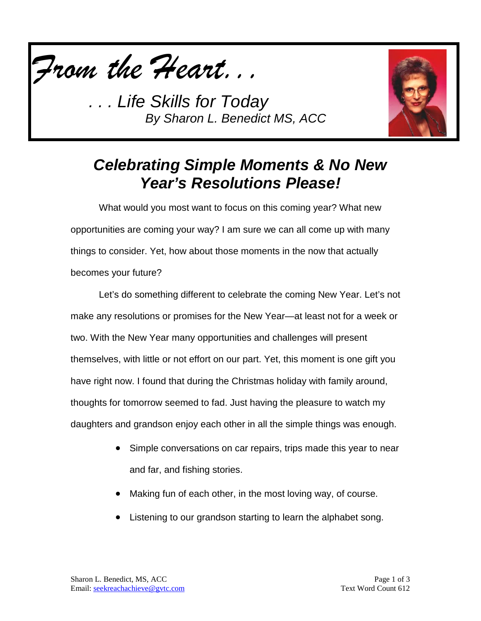

*. . . Life Skills for Today By Sharon L. Benedict MS, ACC*



## *Celebrating Simple Moments & No New Year's Resolutions Please!*

What would you most want to focus on this coming year? What new opportunities are coming your way? I am sure we can all come up with many things to consider. Yet, how about those moments in the now that actually becomes your future?

Let's do something different to celebrate the coming New Year. Let's not make any resolutions or promises for the New Year—at least not for a week or two. With the New Year many opportunities and challenges will present themselves, with little or not effort on our part. Yet, this moment is one gift you have right now. I found that during the Christmas holiday with family around, thoughts for tomorrow seemed to fad. Just having the pleasure to watch my daughters and grandson enjoy each other in all the simple things was enough.

- Simple conversations on car repairs, trips made this year to near and far, and fishing stories.
- Making fun of each other, in the most loving way, of course.
- Listening to our grandson starting to learn the alphabet song.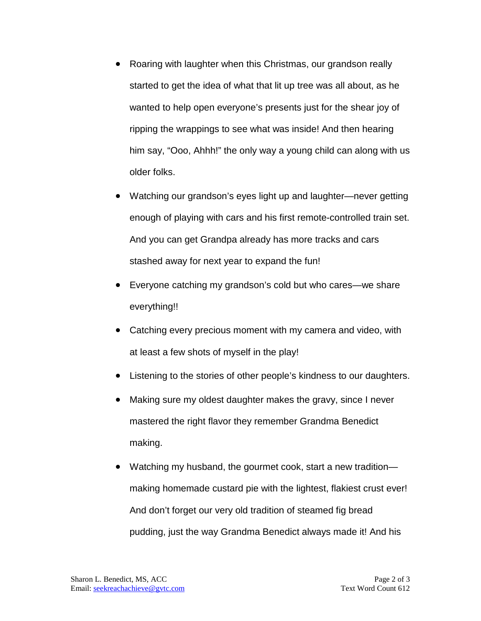- Roaring with laughter when this Christmas, our grandson really started to get the idea of what that lit up tree was all about, as he wanted to help open everyone's presents just for the shear joy of ripping the wrappings to see what was inside! And then hearing him say, "Ooo, Ahhh!" the only way a young child can along with us older folks.
- Watching our grandson's eyes light up and laughter—never getting enough of playing with cars and his first remote-controlled train set. And you can get Grandpa already has more tracks and cars stashed away for next year to expand the fun!
- Everyone catching my grandson's cold but who cares—we share everything!!
- Catching every precious moment with my camera and video, with at least a few shots of myself in the play!
- Listening to the stories of other people's kindness to our daughters.
- Making sure my oldest daughter makes the gravy, since I never mastered the right flavor they remember Grandma Benedict making.
- Watching my husband, the gourmet cook, start a new tradition making homemade custard pie with the lightest, flakiest crust ever! And don't forget our very old tradition of steamed fig bread pudding, just the way Grandma Benedict always made it! And his